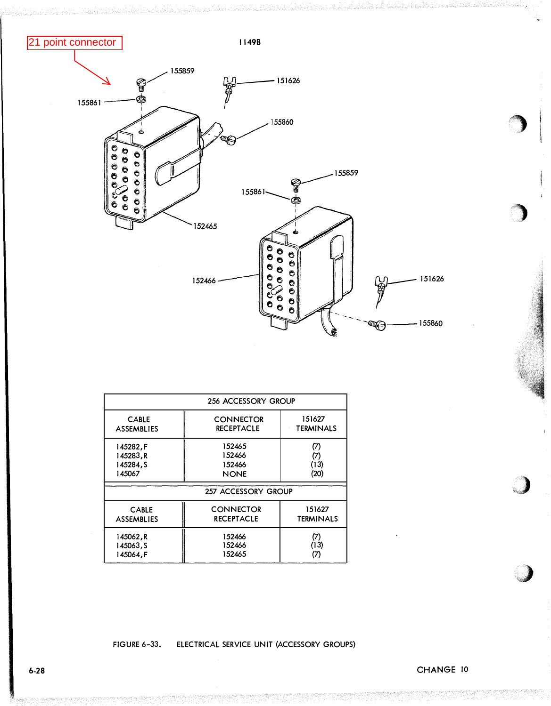

|                   | 256 ACCESSORY GROUP |                  |
|-------------------|---------------------|------------------|
| <b>CABLE</b>      | <b>CONNECTOR</b>    | 151627           |
| <b>ASSEMBLIES</b> | <b>RECEPTACLE</b>   | <b>TERMINALS</b> |
| 145282,F          | 152465              | (7)              |
| 145283, R         | 152466              | (7)              |
| 145284, S         | 152466              | (13)             |
| 145067            | <b>NONE</b>         | (20)             |
|                   | 257 ACCESSORY GROUP |                  |
| <b>CABLE</b>      | <b>CONNECTOR</b>    | 151627           |
| <b>ASSEMBLIES</b> | <b>RECEPTACLE</b>   | TERMINALS        |
| 145062,R          | 152466              | (7)              |
| 145063, S         | 152466              | (13)             |
| 145064,F          | 152465              | (7)              |

## FIGURE 6-33. ELECTRICAL SERVICE UNIT (ACCESSORY GROUPS)

 $\bigcap$ 

)

�,)

 $\bigcup$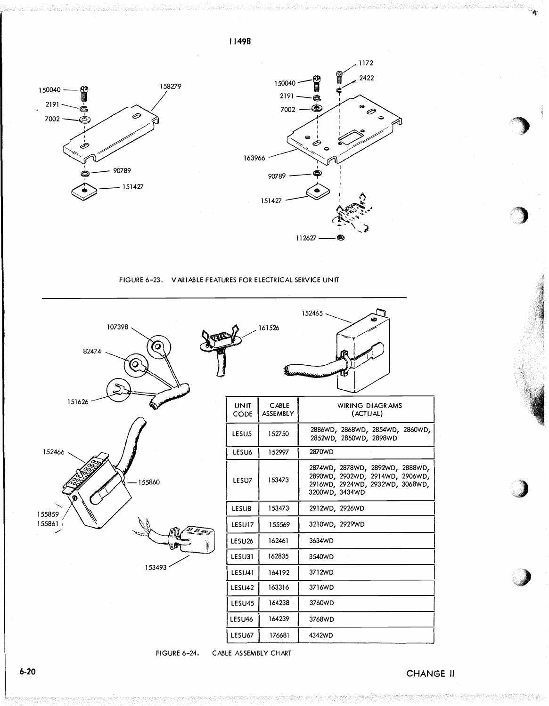158279 150040 **Comme** 2191  $\overline{\phantom{a}}$ ⊘ 7002 Ô, 90789 ඏ 151427



## FIGURE 6-23. VARIABLE FEATURES FOR ELECTRICAL SERVICE UNIT

| 107398<br>о<br>82474     |                     | 161526                   | 152465 -                                                                                                                |
|--------------------------|---------------------|--------------------------|-------------------------------------------------------------------------------------------------------------------------|
| 151626                   | <b>UNIT</b><br>CODE | <b>CABLE</b><br>ASSEMBLY | WIRING DIAGRAMS<br>(ACTUAL)                                                                                             |
|                          | LESU <sub>5</sub>   | 152750                   | 2886WD, 2868WD, 2854WD, 2860WD<br>2852WD, 2850WD, 2898WD                                                                |
| 152466                   | LESU6               | 152997                   | 2870WD                                                                                                                  |
| 155860                   | LESU7               | 153473                   | 2874WD, 2878WD, 2892WD, 2888WD,<br>2890WD, 2902WD, 2914WD, 2906WD,<br>2916WD, 2924WD, 2932WD, 3068WD,<br>3200WD, 3434WD |
| 155859                   | LESU8               | 153473                   | 2912WD, 2926WD                                                                                                          |
| 155861<br>D <sub>E</sub> | LESU17              | 155569                   | 3210WD, 2929WD                                                                                                          |
|                          | LESU26              | 162461                   | 3634WD                                                                                                                  |
|                          | LESU31              | 162835                   | 3540WD                                                                                                                  |
| 153493                   | LESU41              | 164192                   | 3712WD                                                                                                                  |
|                          | LESU42              | 163316                   | 3716WD                                                                                                                  |
|                          | LESU45              | 164238                   | 3760WD                                                                                                                  |
|                          | LESU46              | 164239                   | 3768WD                                                                                                                  |
|                          | LESU67              | 176681                   | 4342WD                                                                                                                  |

CABLE ASSEMBLY CHART **FIGURE 6-24.** 

CHANGE II